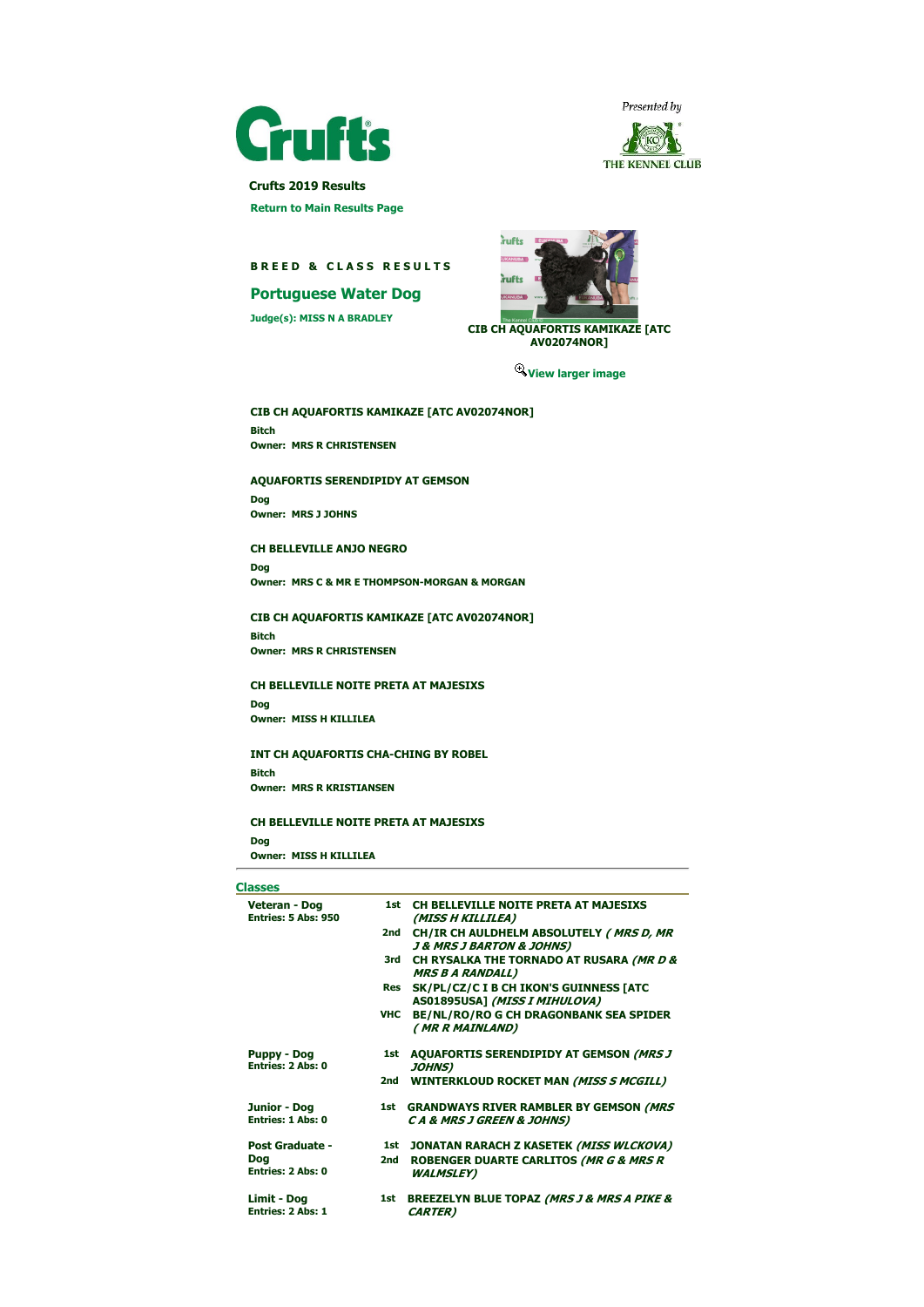



 Crufts 2019 Results Return to Main Results Page

# BREED & CLASS RESULTS

# Portuguese Water Dog

Judge(s): MISS N A BRADLEY



CIB CH AQUAFORTIS KAMIKAZE [ATC AV02074NOR]

View larger image

CIB CH AQUAFORTIS KAMIKAZE [ATC AV02074NOR] Bitch Owner: MRS R CHRISTENSEN

AQUAFORTIS SERENDIPIDY AT GEMSON

Dog Owner: MRS J JOHNS

## CH BELLEVILLE ANJO NEGRO

Dog Owner: MRS C & MR E THOMPSON-MORGAN & MORGAN

### CIB CH AQUAFORTIS KAMIKAZE [ATC AV02074NOR]

Bitch Owner: MRS R CHRISTENSEN

## CH BELLEVILLE NOITE PRETA AT MAJESIXS

Dog Owner: MISS H KILLILEA

### INT CH AQUAFORTIS CHA-CHING BY ROBEL

Bitch Owner: MRS R KRISTIANSEN

### CH BELLEVILLE NOITE PRETA AT MAJESIXS

Dog Owner: MISS H KILLILEA

# **Classes**

| -----                                    |     |                                                                                        |  |
|------------------------------------------|-----|----------------------------------------------------------------------------------------|--|
| Veteran - Dog<br>Entries: 5 Abs: 950     |     | 1st CH BELLEVILLE NOITE PRETA AT MAJESIXS<br>(MISS H KILLILEA)                         |  |
|                                          | 2nd | CH/IR CH AULDHELM ABSOLUTELY (MRS D, MR<br><b>J &amp; MRS J BARTON &amp; JOHNS)</b>    |  |
|                                          | 3rd | CH RYSALKA THE TORNADO AT RUSARA (MR D &<br><b>MRS B A RANDALL)</b>                    |  |
|                                          | Res | SK/PL/CZ/C I B CH IKON'S GUINNESS [ATC<br>AS01895USA] (MISS I MIHULOVA)                |  |
|                                          | VHC | <b>BE/NL/RO/RO G CH DRAGONBANK SEA SPIDER</b><br>(MR R MAINLAND)                       |  |
| <b>Puppy - Dog</b><br>Entries: 2 Abs: 0  | 1st | <b>AQUAFORTIS SERENDIPIDY AT GEMSON (MRS J</b><br><b>JOHNS)</b>                        |  |
|                                          | 2nd | <b>WINTERKLOUD ROCKET MAN (MISS S MCGILL)</b>                                          |  |
| Junior - Dog<br><b>Entries: 1 Abs: 0</b> |     | 1st GRANDWAYS RIVER RAMBLER BY GEMSON (MRS<br><b>CA &amp; MRS J GREEN &amp; JOHNS)</b> |  |
| <b>Post Graduate -</b>                   | 1st | JONATAN RARACH Z KASETEK (MISS WLCKOVA)                                                |  |
| <b>Dog</b><br>Entries: 2 Abs: 0          | 2nd | ROBENGER DUARTE CARLITOS (MR G & MRS R<br><b>WALMSLEY)</b>                             |  |
| Limit - Dog<br><b>Entries: 2 Abs: 1</b>  | 1st | <b>BREEZELYN BLUE TOPAZ (MRS J &amp; MRS A PIKE &amp;</b><br><b>CARTER</b> )           |  |